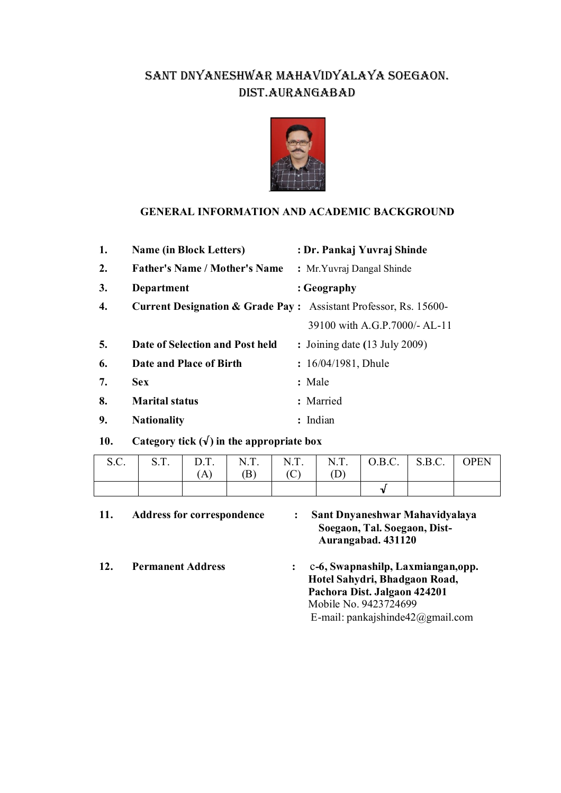## SANT DNYANESHWAR MAHAVIDYALAYA SOEGAON. DIST.AURANGABAD



#### **GENERAL INFORMATION AND ACADEMIC BACKGROUND**

| 1. | <b>Name (in Block Letters)</b>                                              | : Dr. Pankaj Yuvraj Shinde               |
|----|-----------------------------------------------------------------------------|------------------------------------------|
| 2. | <b>Father's Name / Mother's Name</b>                                        | : Mr. Yuvraj Dangal Shinde               |
| 3. | Department                                                                  | : Geography                              |
| 4. | <b>Current Designation &amp; Grade Pay:</b> Assistant Professor, Rs. 15600- |                                          |
|    |                                                                             | 39100 with A.G.P.7000/- AL-11            |
| 5. | Date of Selection and Post held                                             | : Joining date $(13 \text{ July } 2009)$ |
| 6. | Date and Place of Birth                                                     | : $16/04/1981$ , Dhule                   |
| 7. | <b>Sex</b>                                                                  | : Male                                   |
| 8. | <b>Marital status</b>                                                       | : Married                                |
| 9. | <b>Nationality</b>                                                          | : Indian                                 |

**10. Category tick (√) in the appropriate box**

| S.C. | (A) | (B) | (C) | $\vert$ S.T. $\vert$ D.T. $\vert$ N.T. $\vert$ N.T. $\vert$ N.T. $\vert$ O.B.C. $\vert$ S.B.C. $\vert$ OPEN |  |
|------|-----|-----|-----|-------------------------------------------------------------------------------------------------------------|--|
|      |     |     |     |                                                                                                             |  |

| 11. | <b>Address for correspondence</b> | Sant Dnyaneshwar Mahavidyalaya<br>Soegaon, Tal. Soegaon, Dist-<br>Aurangabad. 431120 |
|-----|-----------------------------------|--------------------------------------------------------------------------------------|
| 12. | <b>Permanent Address</b>          | c-6, Swapnashilp, Laxmiangan, opp.                                                   |
|     |                                   | Hotel Sahydri, Bhadgaon Road,                                                        |
|     |                                   | Pachora Dist. Jalgaon 424201                                                         |
|     |                                   | Mobile No. 9423724699                                                                |
|     |                                   | E-mail: pankajshinde $42$ @gmail.com                                                 |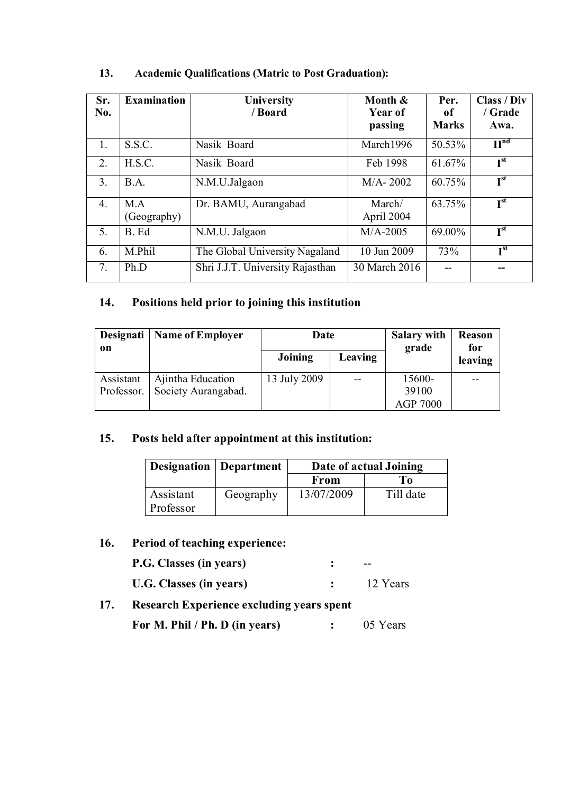| Sr.<br>No.       | <b>Examination</b> | University<br>/ Board            | Month &<br>Year of<br>passing | Per.<br>of<br><b>Marks</b> | Class / Div<br>/ Grade<br>Awa. |
|------------------|--------------------|----------------------------------|-------------------------------|----------------------------|--------------------------------|
| $\mathbf{1}$ .   | S.S.C.             | Nasik Board                      | March1996                     | 50.53%                     | H <sub>uq</sub>                |
| 2.               | H.S.C.             | Nasik Board                      | Feb 1998                      | 61.67%                     | I <sup>st</sup>                |
| $\overline{3}$ . | B.A.               | N.M.U.Jalgaon                    | $M/A - 2002$                  | 60.75%                     | I <sup>st</sup>                |
| $\overline{4}$ . | M.A<br>(Geography) | Dr. BAMU, Aurangabad             | March/<br>April 2004          | 63.75%                     | I <sup>st</sup>                |
| .5.              | B. Ed              | N.M.U. Jalgaon                   | $M/A$ -2005                   | 69.00%                     | $I^{st}$                       |
| 6.               | M.Phil             | The Global University Nagaland   | 10 Jun 2009                   | 73%                        | I <sub>st</sub>                |
| 7.               | Ph.D               | Shri J.J.T. University Rajasthan | 30 March 2016                 |                            |                                |

#### **13. Academic Qualifications (Matric to Post Graduation):**

### **14. Positions held prior to joining this institution**

| Designati<br>on | <b>Name of Employer</b> | Date         |         | <b>Salary with</b><br>grade | Reason<br>for<br>leaving |
|-----------------|-------------------------|--------------|---------|-----------------------------|--------------------------|
|                 |                         | Joining      | Leaving |                             |                          |
| Assistant       | Ajintha Education       | 13 July 2009 |         | 15600-                      |                          |
| Professor.      | Society Aurangabad.     |              |         | 39100                       |                          |
|                 |                         |              |         | <b>AGP 7000</b>             |                          |

#### **15. Posts held after appointment at this institution:**

|           | <b>Designation</b> Department | Date of actual Joining |           |  |
|-----------|-------------------------------|------------------------|-----------|--|
|           |                               | From                   | To        |  |
| Assistant | Geography                     | 13/07/2009             | Till date |  |
| Professor |                               |                        |           |  |

### **16. Period of teaching experience:**

| P.G. Classes (in years) | --       |
|-------------------------|----------|
| U.G. Classes (in years) | 12 Years |

### **17. Research Experience excluding years spent**

**For M. Phil / Ph. D (in years) :** 05 Years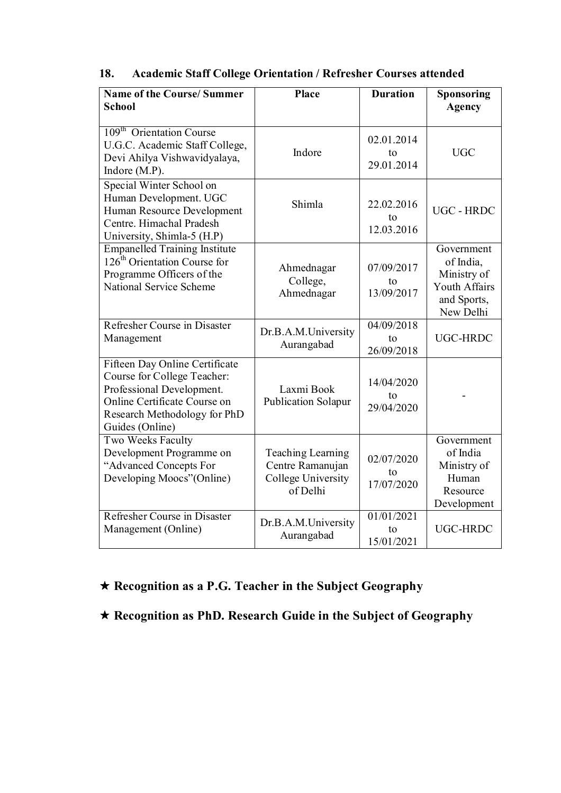| 18. | <b>Academic Staff College Orientation / Refresher Courses attended</b> |  |  |  |
|-----|------------------------------------------------------------------------|--|--|--|
|-----|------------------------------------------------------------------------|--|--|--|

| <b>Name of the Course/Summer</b><br><b>School</b>                                                                                                                             | <b>Place</b>                                                            | <b>Duration</b>                | Sponsoring<br><b>Agency</b>                                                         |
|-------------------------------------------------------------------------------------------------------------------------------------------------------------------------------|-------------------------------------------------------------------------|--------------------------------|-------------------------------------------------------------------------------------|
| 109 <sup>th</sup> Orientation Course<br>U.G.C. Academic Staff College,<br>Devi Ahilya Vishwavidyalaya,<br>Indore (M.P).                                                       | Indore                                                                  | 02.01.2014<br>to<br>29.01.2014 | <b>UGC</b>                                                                          |
| Special Winter School on<br>Human Development. UGC<br>Human Resource Development<br>Centre. Himachal Pradesh<br>University, Shimla-5 (H.P)                                    | Shimla                                                                  | 22.02.2016<br>to<br>12.03.2016 | <b>UGC - HRDC</b>                                                                   |
| <b>Empanelled Training Institute</b><br>126 <sup>th</sup> Orientation Course for<br>Programme Officers of the<br>National Service Scheme                                      | Ahmednagar<br>College,<br>Ahmednagar                                    | 07/09/2017<br>to<br>13/09/2017 | Government<br>of India,<br>Ministry of<br>Youth Affairs<br>and Sports,<br>New Delhi |
| Refresher Course in Disaster<br>Management                                                                                                                                    | Dr.B.A.M.University<br>Aurangabad                                       | 04/09/2018<br>to<br>26/09/2018 | UGC-HRDC                                                                            |
| Fifteen Day Online Certificate<br>Course for College Teacher:<br>Professional Development.<br>Online Certificate Course on<br>Research Methodology for PhD<br>Guides (Online) | Laxmi Book<br>Publication Solapur                                       | 14/04/2020<br>to<br>29/04/2020 |                                                                                     |
| Two Weeks Faculty<br>Development Programme on<br>"Advanced Concepts For<br>Developing Moocs" (Online)                                                                         | Teaching Learning<br>Centre Ramanujan<br>College University<br>of Delhi | 02/07/2020<br>to<br>17/07/2020 | Government<br>of India<br>Ministry of<br>Human<br>Resource<br>Development           |
| Refresher Course in Disaster<br>Management (Online)                                                                                                                           | Dr.B.A.M.University<br>Aurangabad                                       | 01/01/2021<br>to<br>15/01/2021 | UGC-HRDC                                                                            |

# **Recognition as a P.G. Teacher in the Subject Geography**

**Recognition as PhD. Research Guide in the Subject of Geography**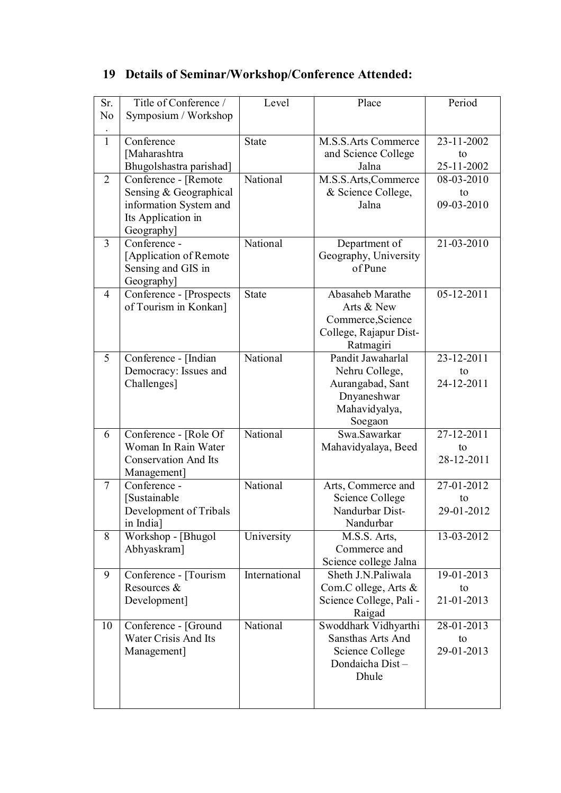|  | 19 Details of Seminar/Workshop/Conference Attended: |  |
|--|-----------------------------------------------------|--|
|  |                                                     |  |

| Sr.            | Title of Conference /                            | Level         | Place                                 | Period           |
|----------------|--------------------------------------------------|---------------|---------------------------------------|------------------|
| No             | Symposium / Workshop                             |               |                                       |                  |
|                |                                                  |               |                                       |                  |
| $\mathbf{1}$   | Conference                                       | State         | <b>M.S.S.Arts Commerce</b>            | 23-11-2002       |
|                | [Maharashtra                                     |               | and Science College                   | to               |
|                | Bhugolshastra parishad]                          |               | Jalna                                 | 25-11-2002       |
| 2              | Conference - [Remote                             | National      | M.S.S.Arts,Commerce                   | 08-03-2010       |
|                | Sensing & Geographical                           |               | & Science College,                    | to               |
|                | information System and                           |               | Jalna                                 | 09-03-2010       |
|                | Its Application in                               |               |                                       |                  |
|                | Geography]                                       |               |                                       |                  |
| $\overline{3}$ | $\overline{\text{Conf}}$ erence -                | National      | Department of                         | 21-03-2010       |
|                | [Application of Remote                           |               | Geography, University                 |                  |
|                | Sensing and GIS in                               |               | of Pune                               |                  |
|                | Geography]                                       |               |                                       |                  |
| 4              | Conference - [Prospects                          | <b>State</b>  | Abasaheb Marathe                      | $05 - 12 - 2011$ |
|                | of Tourism in Konkan]                            |               | Arts & New                            |                  |
|                |                                                  |               | Commerce, Science                     |                  |
|                |                                                  |               | College, Rajapur Dist-                |                  |
|                |                                                  |               | Ratmagiri                             |                  |
| 5              | Conference - [Indian                             | National      | Pandit Jawaharlal                     | 23-12-2011       |
|                | Democracy: Issues and                            |               | Nehru College,                        | to               |
|                | Challenges]                                      |               | Aurangabad, Sant                      | 24-12-2011       |
|                |                                                  |               | Dnyaneshwar                           |                  |
|                |                                                  |               | Mahavidyalya,                         |                  |
|                |                                                  |               | Soegaon                               |                  |
| 6              | Conference - [Role Of                            | National      | Swa.Sawarkar                          | 27-12-2011       |
|                | Woman In Rain Water                              |               | Mahavidyalaya, Beed                   | to               |
|                | <b>Conservation And Its</b>                      |               |                                       | 28-12-2011       |
|                | Management]<br>$\overline{\text{Conf}}$ erence - | National      |                                       |                  |
| 7              | [Sustainable                                     |               | Arts, Commerce and<br>Science College | 27-01-2012<br>to |
|                | Development of Tribals                           |               | Nandurbar Dist-                       | 29-01-2012       |
|                | in India]                                        |               | Nandurbar                             |                  |
| 8              | Workshop - [Bhugol                               | University    | M.S.S. Arts,                          | 13-03-2012       |
|                | Abhyaskram]                                      |               | Commerce and                          |                  |
|                |                                                  |               | Science college Jalna                 |                  |
| 9              | Conference - [Tourism]                           | International | Sheth J.N.Paliwala                    | 19-01-2013       |
|                | Resources &                                      |               | Com.C ollege, Arts &                  | to               |
|                | Development]                                     |               | Science College, Pali -               | 21-01-2013       |
|                |                                                  |               | Raigad                                |                  |
| 10             | Conference - [Ground                             | National      | Swoddhark Vidhyarthi                  | 28-01-2013       |
|                | Water Crisis And Its                             |               | Sansthas Arts And                     | to               |
|                | Management]                                      |               | Science College                       | 29-01-2013       |
|                |                                                  |               | Dondaicha Dist-                       |                  |
|                |                                                  |               | Dhule                                 |                  |
|                |                                                  |               |                                       |                  |
|                |                                                  |               |                                       |                  |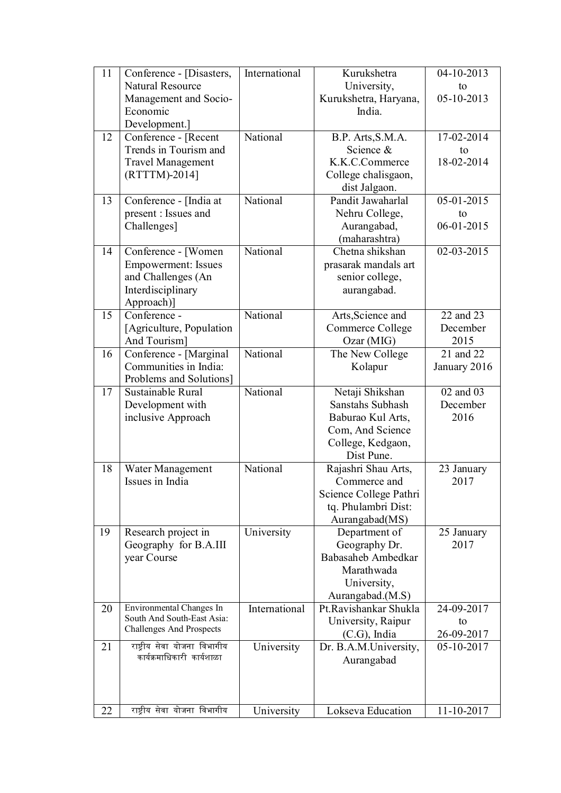| 11 | Conference - [Disasters,        | International | Kurukshetra                         | 04-10-2013                          |
|----|---------------------------------|---------------|-------------------------------------|-------------------------------------|
|    | <b>Natural Resource</b>         |               | University,                         | to                                  |
|    | Management and Socio-           |               | Kurukshetra, Haryana,               | $05 - 10 - 2013$                    |
|    | Economic                        |               | India.                              |                                     |
|    | Development.]                   |               |                                     |                                     |
| 12 | Conference - [Recent            | National      | B.P. Arts, S.M.A.                   | 17-02-2014                          |
|    | Trends in Tourism and           |               | Science &                           | to                                  |
|    | <b>Travel Management</b>        |               | K.K.C.Commerce                      | 18-02-2014                          |
|    | (RTTTM)-2014]                   |               | College chalisgaon,                 |                                     |
|    |                                 | National      | dist Jalgaon.<br>Pandit Jawaharlal  | $05 - 01 - 2015$                    |
| 13 | Conference - [India at          |               |                                     |                                     |
|    | present : Issues and            |               | Nehru College,                      | to<br>$06 - 01 - 2015$              |
|    | Challenges]                     |               | Aurangabad,<br>(maharashtra)        |                                     |
| 14 | Conference - [Women             | National      | Chetna shikshan                     | $02 - 03 - 2015$                    |
|    | <b>Empowerment: Issues</b>      |               | prasarak mandals art                |                                     |
|    | and Challenges (An              |               | senior college,                     |                                     |
|    | Interdisciplinary               |               | aurangabad.                         |                                     |
|    | Approach)]                      |               |                                     |                                     |
| 15 | Conference -                    | National      | Arts, Science and                   | $\overline{22}$ and $\overline{23}$ |
|    | [Agriculture, Population]       |               | Commerce College                    | December                            |
|    | And Tourism]                    |               | Ozar (MIG)                          | 2015                                |
| 16 | Conference - [Marginal          | National      | The New College                     | 21 and 22                           |
|    | Communities in India:           |               | Kolapur                             | January 2016                        |
|    | Problems and Solutions]         |               |                                     |                                     |
| 17 | Sustainable Rural               | National      | Netaji Shikshan                     | 02 and 03                           |
|    | Development with                |               | Sanstahs Subhash                    | December                            |
|    | inclusive Approach              |               | Baburao Kul Arts,                   | 2016                                |
|    |                                 |               | Com, And Science                    |                                     |
|    |                                 |               | College, Kedgaon,                   |                                     |
|    |                                 |               | Dist Pune.                          |                                     |
| 18 | Water Management                | National      | Rajashri Shau Arts,                 | 23 January                          |
|    | Issues in India                 |               | Commerce and                        | 2017                                |
|    |                                 |               | Science College Pathri              |                                     |
|    |                                 |               | tq. Phulambri Dist:                 |                                     |
|    |                                 |               | Aurangabad(MS)                      |                                     |
| 19 | Research project in             | University    | Department of                       | 25 January<br>2017                  |
|    | Geography for B.A.III           |               | Geography Dr.<br>Babasaheb Ambedkar |                                     |
|    | year Course                     |               | Marathwada                          |                                     |
|    |                                 |               | University,                         |                                     |
|    |                                 |               | Aurangabad.(M.S)                    |                                     |
| 20 | Environmental Changes In        | International | Pt.Ravishankar Shukla               | 24-09-2017                          |
|    | South And South-East Asia:      |               | University, Raipur                  | to                                  |
|    | <b>Challenges And Prospects</b> |               | $(C.G)$ , India                     | 26-09-2017                          |
| 21 | राष्ट्रीय सेवा योजना विभागीय    | University    | Dr. B.A.M.University,               | 05-10-2017                          |
|    | कार्यक्रमाधिकारी कार्यशाळा      |               | Aurangabad                          |                                     |
|    |                                 |               |                                     |                                     |
|    |                                 |               |                                     |                                     |
|    |                                 |               |                                     |                                     |
| 22 | राष्ट्रीय सेवा योजना विभागीय    | University    | Lokseva Education                   | 11-10-2017                          |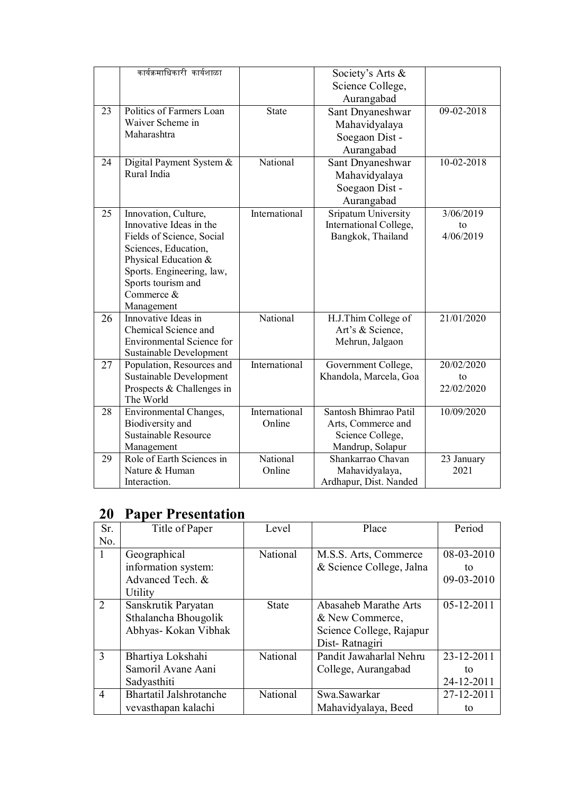|    | कार्यक्रमाधिकारी कार्यशाळा                           |               | Society's Arts &                              |                  |
|----|------------------------------------------------------|---------------|-----------------------------------------------|------------------|
|    |                                                      |               | Science College,                              |                  |
|    |                                                      |               | Aurangabad                                    |                  |
| 23 | Politics of Farmers Loan                             | <b>State</b>  | Sant Dnyaneshwar                              | 09-02-2018       |
|    | Waiver Scheme in                                     |               | Mahavidyalaya                                 |                  |
|    | Maharashtra                                          |               | Soegaon Dist -                                |                  |
|    |                                                      |               | Aurangabad                                    |                  |
| 24 | Digital Payment System &                             | National      | Sant Dnyaneshwar                              | $10 - 02 - 2018$ |
|    | Rural India                                          |               | Mahavidyalaya                                 |                  |
|    |                                                      |               | Soegaon Dist -                                |                  |
|    |                                                      |               | Aurangabad                                    |                  |
| 25 | Innovation, Culture,                                 | International | Sripatum University                           | 3/06/2019        |
|    | Innovative Ideas in the                              |               | International College,                        | to               |
|    | Fields of Science, Social                            |               | Bangkok, Thailand                             | 4/06/2019        |
|    | Sciences, Education,                                 |               |                                               |                  |
|    | Physical Education &                                 |               |                                               |                  |
|    | Sports. Engineering, law,                            |               |                                               |                  |
|    | Sports tourism and                                   |               |                                               |                  |
|    | Commerce &                                           |               |                                               |                  |
|    | Management                                           |               |                                               |                  |
| 26 | Innovative Ideas in                                  | National      | H.J.Thim College of                           | 21/01/2020       |
|    | Chemical Science and                                 |               | Art's & Science,                              |                  |
|    | <b>Environmental Science for</b>                     |               | Mehrun, Jalgaon                               |                  |
|    | Sustainable Development                              | International |                                               | 20/02/2020       |
| 27 | Population, Resources and<br>Sustainable Development |               | Government College,<br>Khandola, Marcela, Goa | to               |
|    | Prospects & Challenges in                            |               |                                               | 22/02/2020       |
|    | The World                                            |               |                                               |                  |
| 28 | Environmental Changes,                               | International | Santosh Bhimrao Patil                         | 10/09/2020       |
|    | Biodiversity and                                     | Online        | Arts, Commerce and                            |                  |
|    | Sustainable Resource                                 |               | Science College,                              |                  |
|    | Management                                           |               | Mandrup, Solapur                              |                  |
| 29 | Role of Earth Sciences in                            | National      | Shankarrao Chavan                             | 23 January       |
|    | Nature & Human                                       | Online        | Mahavidyalaya,                                | 2021             |
|    | Interaction.                                         |               | Ardhapur, Dist. Nanded                        |                  |

# **20 Paper Presentation**

| Sr.            | Title of Paper                 | Level        | Place                    | Period     |
|----------------|--------------------------------|--------------|--------------------------|------------|
| No.            |                                |              |                          |            |
|                | Geographical                   | National     | M.S.S. Arts, Commerce    | 08-03-2010 |
|                | information system:            |              | & Science College, Jalna | to         |
|                | Advanced Tech. &               |              |                          | 09-03-2010 |
|                | Utility                        |              |                          |            |
| $\overline{2}$ | Sanskrutik Paryatan            | <b>State</b> | Abasaheb Marathe Arts    | 05-12-2011 |
|                | Sthalancha Bhougolik           |              | & New Commerce,          |            |
|                | Abhyas- Kokan Vibhak           |              | Science College, Rajapur |            |
|                |                                |              | Dist-Ratnagiri           |            |
| 3              | Bhartiya Lokshahi              | National     | Pandit Jawaharlal Nehru  | 23-12-2011 |
|                | Samoril Avane Aani             |              | College, Aurangabad      | to         |
|                | Sadyasthiti                    |              |                          | 24-12-2011 |
| 4              | <b>Bhartatil Jalshrotanche</b> | National     | Swa.Sawarkar             | 27-12-2011 |
|                | vevasthapan kalachi            |              | Mahavidyalaya, Beed      | to         |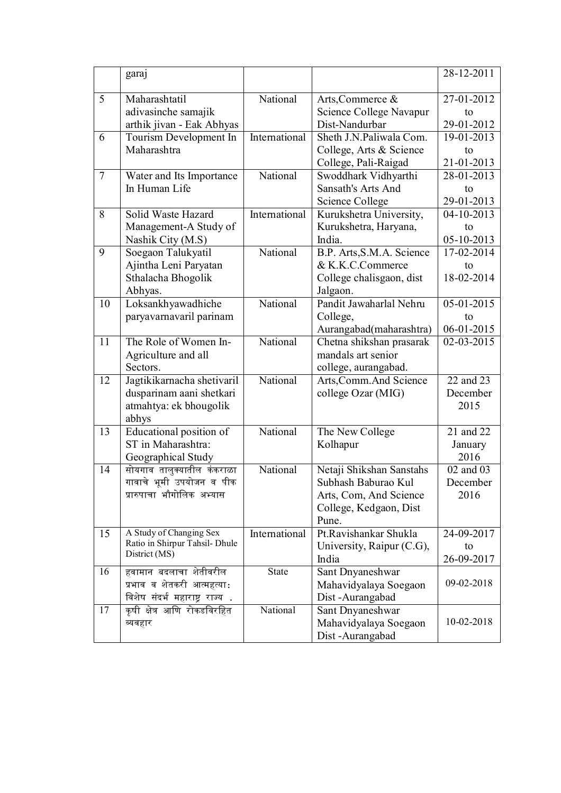|        | garaj                                                                                     |               |                                                                                                              | 28-12-2011                                  |
|--------|-------------------------------------------------------------------------------------------|---------------|--------------------------------------------------------------------------------------------------------------|---------------------------------------------|
| 5      | Maharashtatil<br>adivasinche samajik<br>arthik jivan - Eak Abhyas                         | National      | Arts, Commerce &<br>Science College Navapur<br>Dist-Nandurbar                                                | 27-01-2012<br>to<br>29-01-2012              |
| 6      | Tourism Development In<br>Maharashtra                                                     | International | Sheth J.N.Paliwala Com.<br>College, Arts & Science<br>College, Pali-Raigad                                   | 19-01-2013<br>to<br>21-01-2013              |
| $\tau$ | Water and Its Importance<br>In Human Life                                                 | National      | Swoddhark Vidhyarthi<br>Sansath's Arts And<br>Science College                                                | 28-01-2013<br>to<br>29-01-2013              |
| 8      | Solid Waste Hazard<br>Management-A Study of<br>Nashik City (M.S)                          | International | Kurukshetra University,<br>Kurukshetra, Haryana,<br>India.                                                   | 04-10-2013<br>to<br>05-10-2013              |
| 9      | Soegaon Talukyatil<br>Ajintha Leni Paryatan<br>Sthalacha Bhogolik<br>Abhyas.              | National      | B.P. Arts, S.M.A. Science<br>& K.K.C.Commerce<br>College chalisgaon, dist<br>Jalgaon.                        | 17-02-2014<br>to<br>18-02-2014              |
| 10     | Loksankhyawadhiche<br>paryavarnavaril parinam                                             | National      | Pandit Jawaharlal Nehru<br>College,<br>Aurangabad(maharashtra)                                               | $\overline{05-01-2015}$<br>to<br>06-01-2015 |
| 11     | The Role of Women In-<br>Agriculture and all<br>Sectors.                                  | National      | Chetna shikshan prasarak<br>mandals art senior<br>college, aurangabad.                                       | 02-03-2015                                  |
| 12     | Jagtikikarnacha shetivaril<br>dusparinam aani shetkari<br>atmahtya: ek bhougolik<br>abhys | National      | Arts, Comm. And Science<br>college Ozar (MIG)                                                                | 22 and 23<br>December<br>2015               |
| 13     | Educational position of<br>ST in Maharashtra:<br>Geographical Study                       | National      | The New College<br>Kolhapur                                                                                  | 21 and 22<br>January<br>2016                |
| 14     | सोयगाव तालुक्यातील कंकराळा<br>गावाचे भूमी उपयोजन व पीक<br>प्रारुपाचा भौगोलिक अभ्यास       | National      | Netaji Shikshan Sanstahs<br>Subhash Baburao Kul<br>Arts, Com, And Science<br>College, Kedgaon, Dist<br>Pune. | 02 and 03<br>December<br>2016               |
| 15     | A Study of Changing Sex<br>Ratio in Shirpur Tahsil- Dhule<br>District (MS)                | International | Pt.Ravishankar Shukla<br>University, Raipur (C.G),<br>India                                                  | 24-09-2017<br>to<br>26-09-2017              |
| 16     | हवामान बदलाचा शेतीवरील<br>प्रभाव व शेतकरी आत्महत्या:<br>विशेष संदर्भ महाराष्ट्र राज्य .   | State         | Sant Dnyaneshwar<br>Mahavidyalaya Soegaon<br>Dist-Aurangabad                                                 | 09-02-2018                                  |
| 17     | कृषी क्षेत्र आणि रोकडविरहित<br>व्यवहार                                                    | National      | Sant Dnyaneshwar<br>Mahavidyalaya Soegaon<br>Dist-Aurangabad                                                 | 10-02-2018                                  |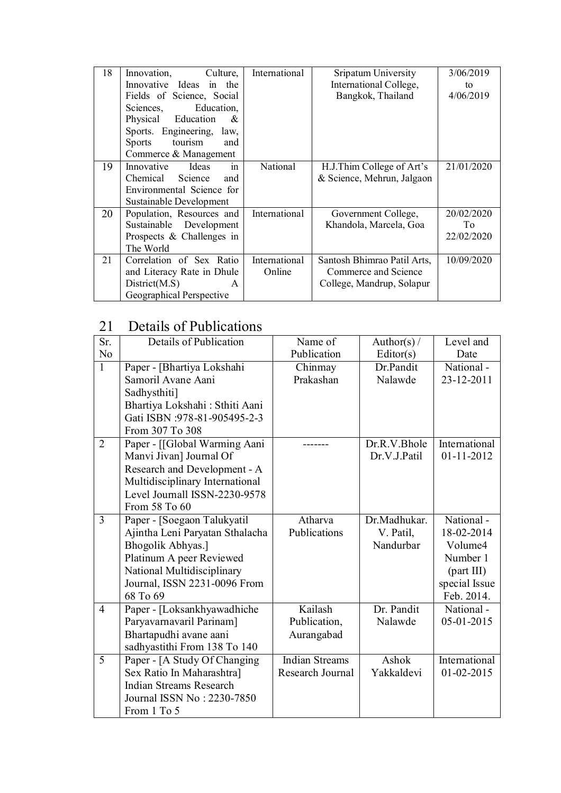| 18 | Culture,<br>Innovation,    | International | Sripatum University         | 3/06/2019  |
|----|----------------------------|---------------|-----------------------------|------------|
|    | Innovative Ideas in the    |               | International College,      | to         |
|    | Fields of Science, Social  |               | Bangkok, Thailand           | 4/06/2019  |
|    | Education,<br>Sciences,    |               |                             |            |
|    | Physical Education<br>&    |               |                             |            |
|    | Sports. Engineering, law,  |               |                             |            |
|    | tourism<br>Sports<br>and   |               |                             |            |
|    | Commerce & Management      |               |                             |            |
| 19 | Innovative<br>Ideas<br>in  | National      | H.J.Thim College of Art's   | 21/01/2020 |
|    | Chemical Science<br>and    |               | & Science, Mehrun, Jalgaon  |            |
|    | Environmental Science for  |               |                             |            |
|    | Sustainable Development    |               |                             |            |
| 20 | Population, Resources and  | International | Government College,         | 20/02/2020 |
|    | Sustainable Development    |               | Khandola, Marcela, Goa      | To         |
|    | Prospects & Challenges in  |               |                             | 22/02/2020 |
|    | The World                  |               |                             |            |
| 21 | Correlation of Sex Ratio   | International | Santosh Bhimrao Patil Arts, | 10/09/2020 |
|    | and Literacy Rate in Dhule | Online        | Commerce and Science        |            |
|    | District(M.S)<br>A         |               | College, Mandrup, Solapur   |            |
|    | Geographical Perspective   |               |                             |            |

# 21 Details of Publications

| Sr.            | Details of Publication                                                                                                                                                                    | Name of                                   | Author(s) $/$                          | Level and                                                                                   |
|----------------|-------------------------------------------------------------------------------------------------------------------------------------------------------------------------------------------|-------------------------------------------|----------------------------------------|---------------------------------------------------------------------------------------------|
| N <sub>o</sub> |                                                                                                                                                                                           | Publication                               | Editor(s)                              | Date                                                                                        |
| $\mathbf{1}$   | Paper - [Bhartiya Lokshahi<br>Samoril Avane Aani                                                                                                                                          | Chinmay<br>Prakashan                      | Dr.Pandit<br>Nalawde                   | National-<br>23-12-2011                                                                     |
|                | Sadhysthiti]<br>Bhartiya Lokshahi: Sthiti Aani<br>Gati ISBN :978-81-905495-2-3<br>From 307 To 308                                                                                         |                                           |                                        |                                                                                             |
| $\overline{2}$ | Paper - [[Global Warming Aani<br>Manvi Jivan] Journal Of<br>Research and Development - A<br>Multidisciplinary International<br>Level Journall ISSN-2230-9578<br>From 58 To 60             |                                           | Dr.R.V.Bhole<br>Dr.V.J.Patil           | International<br>$01 - 11 - 2012$                                                           |
| $\overline{3}$ | Paper - [Soegaon Talukyatil<br>Ajintha Leni Paryatan Sthalacha<br>Bhogolik Abhyas.]<br>Platinum A peer Reviewed<br>National Multidisciplinary<br>Journal, ISSN 2231-0096 From<br>68 To 69 | Atharva<br>Publications                   | Dr.Madhukar.<br>V. Patil,<br>Nandurbar | National-<br>18-02-2014<br>Volume4<br>Number 1<br>(part III)<br>special Issue<br>Feb. 2014. |
| $\overline{4}$ | Paper - [Loksankhyawadhiche<br>Paryavarnavaril Parinam]<br>Bhartapudhi avane aani<br>sadhyastithi From 138 To 140                                                                         | Kailash<br>Publication,<br>Aurangabad     | Dr. Pandit<br>Nalawde                  | National-<br>05-01-2015                                                                     |
| 5              | Paper - [A Study Of Changing<br>Sex Ratio In Maharashtra]<br><b>Indian Streams Research</b><br>Journal ISSN No: 2230-7850<br>From 1 To 5                                                  | <b>Indian Streams</b><br>Research Journal | Ashok<br>Yakkaldevi                    | International<br>$01 - 02 - 2015$                                                           |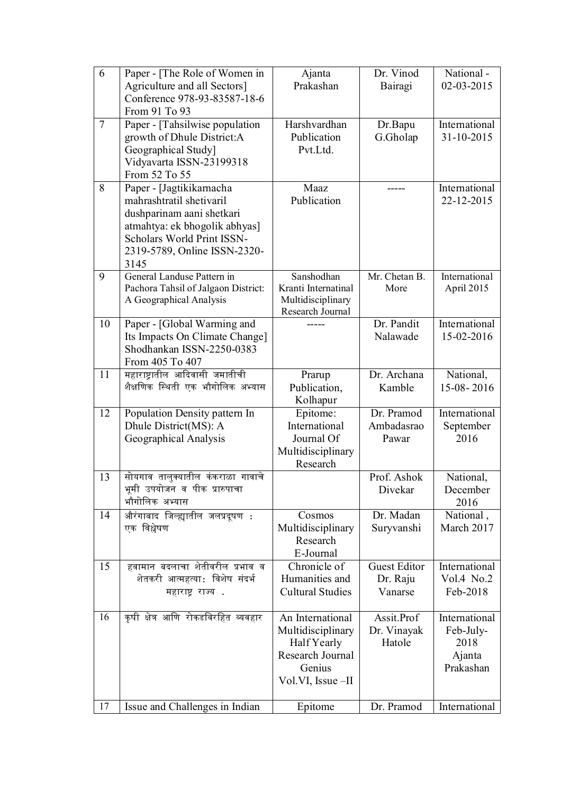| 6  | Paper - [The Role of Women in<br>Agriculture and all Sectors] | Ajanta<br>Prakashan                   | Dr. Vinod<br>Bairagi    | National-<br>02-03-2015     |
|----|---------------------------------------------------------------|---------------------------------------|-------------------------|-----------------------------|
|    | Conference 978-93-83587-18-6                                  |                                       |                         |                             |
|    | From 91 To 93                                                 |                                       |                         |                             |
| 7  | Paper - [Tahsilwise population<br>growth of Dhule District:A  | Harshvardhan<br>Publication           | Dr.Bapu<br>G.Gholap     | International<br>31-10-2015 |
|    | Geographical Study]                                           | Pvt.Ltd.                              |                         |                             |
|    | Vidyavarta ISSN-23199318                                      |                                       |                         |                             |
|    | From 52 To 55                                                 |                                       |                         |                             |
| 8  | Paper - [Jagtikikarnacha<br>mahrashtratil shetivaril          | Maaz<br>Publication                   | -----                   | International<br>22-12-2015 |
|    | dushparinam aani shetkari                                     |                                       |                         |                             |
|    | atmahtya: ek bhogolik abhyas]                                 |                                       |                         |                             |
|    | Scholars World Print ISSN-                                    |                                       |                         |                             |
|    | 2319-5789, Online ISSN-2320-<br>3145                          |                                       |                         |                             |
| 9  | General Landuse Pattern in                                    | Sanshodhan                            | Mr. Chetan B.           | International               |
|    | Pachora Tahsil of Jalgaon District:                           | Kranti Internatinal                   | More                    | April 2015                  |
|    | A Geographical Analysis                                       | Multidisciplinary<br>Research Journal |                         |                             |
| 10 | Paper - [Global Warming and                                   |                                       | Dr. Pandit              | International               |
|    | Its Impacts On Climate Change]<br>Shodhankan ISSN-2250-0383   |                                       | Nalawade                | 15-02-2016                  |
|    | From 405 To 407                                               |                                       |                         |                             |
| 11 | महाराष्ट्रातील आदिवासी जमातीची                                | Prarup                                | Dr. Archana             | National,                   |
|    | शैक्षणिक स्थिती एक भौगोलिक अभ्यास                             | Publication,                          | Kamble                  | 15-08-2016                  |
| 12 | Population Density pattern In                                 | Kolhapur<br>Epitome:                  | Dr. Pramod              | International               |
|    | Dhule District(MS): A                                         | International                         | Ambadasrao              | September                   |
|    | Geographical Analysis                                         | Journal Of                            | Pawar                   | 2016                        |
|    |                                                               | Multidisciplinary<br>Research         |                         |                             |
| 13 | सोयगाव तालुक्यातील कंकराळा गावाचे                             |                                       | Prof. Ashok             | National,                   |
|    | भूमी उपयोजन व पीक प्रारुपाचा                                  |                                       | Divekar                 | December                    |
|    | भौगोलिक अभ्यास                                                |                                       |                         | 2016                        |
| 14 | औरंगाबाद जिल्ह्यातील जलप्रदूषण :<br>एक विश्लेषण               | Cosmos<br>Multidisciplinary           | Dr. Madan<br>Suryvanshi | National,<br>March 2017     |
|    |                                                               | Research                              |                         |                             |
|    |                                                               | E-Journal                             |                         |                             |
| 15 | हवामान बदलाचा शेतीवरील प्रभाव व                               | Chronicle of<br>Humanities and        | <b>Guest Editor</b>     | International<br>Vol.4 No.2 |
|    | शेतकरी आत्महत्या: विशेष संदर्भ<br>महाराष्ट्र राज्य.           | <b>Cultural Studies</b>               | Dr. Raju<br>Vanarse     | Feb-2018                    |
|    |                                                               |                                       |                         |                             |
| 16 | कृषी क्षेत्र आणि रोकडविरहित व्यवहार                           | An International                      | Assit.Prof              | International               |
|    |                                                               | Multidisciplinary<br>Half Yearly      | Dr. Vinayak<br>Hatole   | Feb-July-<br>2018           |
|    |                                                               | Research Journal                      |                         | Ajanta                      |
|    |                                                               | Genius                                |                         | Prakashan                   |
|    |                                                               | Vol.VI, Issue -II                     |                         |                             |
| 17 | Issue and Challenges in Indian                                | Epitome                               | Dr. Pramod              | International               |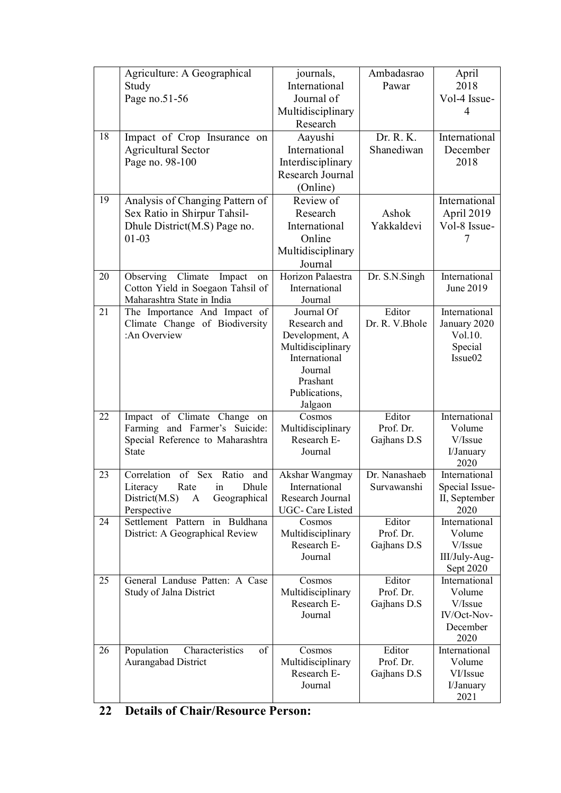| 18 | Agriculture: A Geographical<br>Study<br>Page no.51-56<br>Impact of Crop Insurance on<br><b>Agricultural Sector</b><br>Page no. 98-100 | journals,<br>International<br>Journal of<br>Multidisciplinary<br>Research<br>Aayushi<br>International<br>Interdisciplinary<br>Research Journal | Ambadasrao<br>Pawar<br>Dr. R. K.<br>Shanediwan | April<br>2018<br>Vol-4 Issue-<br>4<br>International<br>December<br>2018 |
|----|---------------------------------------------------------------------------------------------------------------------------------------|------------------------------------------------------------------------------------------------------------------------------------------------|------------------------------------------------|-------------------------------------------------------------------------|
| 19 | Analysis of Changing Pattern of<br>Sex Ratio in Shirpur Tahsil-<br>Dhule District(M.S) Page no.<br>$01 - 03$                          | (Online)<br>Review of<br>Research<br>International<br>Online<br>Multidisciplinary<br>Journal                                                   | Ashok<br>Yakkaldevi                            | International<br>April 2019<br>Vol-8 Issue-<br>7                        |
| 20 | Observing Climate<br>Impact<br>on<br>Cotton Yield in Soegaon Tahsil of<br>Maharashtra State in India                                  | Horizon Palaestra<br>International<br>Journal                                                                                                  | Dr. S.N.Singh                                  | International<br>June 2019                                              |
| 21 | The Importance And Impact of<br>Climate Change of Biodiversity<br>:An Overview                                                        | Journal Of<br>Research and<br>Development, A<br>Multidisciplinary<br>International<br>Journal<br>Prashant<br>Publications,<br>Jalgaon          | Editor<br>Dr. R. V.Bhole                       | International<br>January 2020<br>Vol.10.<br>Special<br>Issue02          |
| 22 | Impact of Climate<br>Change on<br>Farming and Farmer's Suicide:<br>Special Reference to Maharashtra<br><b>State</b>                   | Cosmos<br>Multidisciplinary<br>Research E-<br>Journal                                                                                          | Editor<br>Prof. Dr.<br>Gajhans D.S             | International<br>Volume<br>V/Issue<br>I/January<br>2020                 |
| 23 | Correlation<br>of Sex Ratio and<br>Rate in<br>Dhule<br>Literacy<br>District(M.S)<br>Geographical<br>A<br>Perspective                  | Akshar Wangmay<br>International<br>Research Journal<br>UGC-Care Listed                                                                         | Dr. Nanashaeb<br>Survawanshi                   | International<br>Special Issue-<br>II, September<br>2020                |
| 24 | Settlement Pattern in Buldhana<br>District: A Geographical Review                                                                     | Cosmos<br>Multidisciplinary<br>Research E-<br>Journal                                                                                          | Editor<br>Prof. Dr.<br>Gajhans D.S             | International<br>Volume<br>V/Issue<br>III/July-Aug-<br>Sept 2020        |
| 25 | General Landuse Patten: A Case<br>Study of Jalna District                                                                             | Cosmos<br>Multidisciplinary<br>Research E-<br>Journal                                                                                          | Editor<br>Prof. Dr.<br>Gajhans D.S             | International<br>Volume<br>V/Issue<br>IV/Oct-Nov-<br>December<br>2020   |
| 26 | Population<br>Characteristics<br>of<br>Aurangabad District                                                                            | Cosmos<br>Multidisciplinary<br>Research E-<br>Journal                                                                                          | Editor<br>Prof. Dr.<br>Gajhans D.S             | International<br>Volume<br>VI/Issue<br>I/January<br>2021                |

|  | 22 Details of Chair/Resource Person: |  |
|--|--------------------------------------|--|
|  |                                      |  |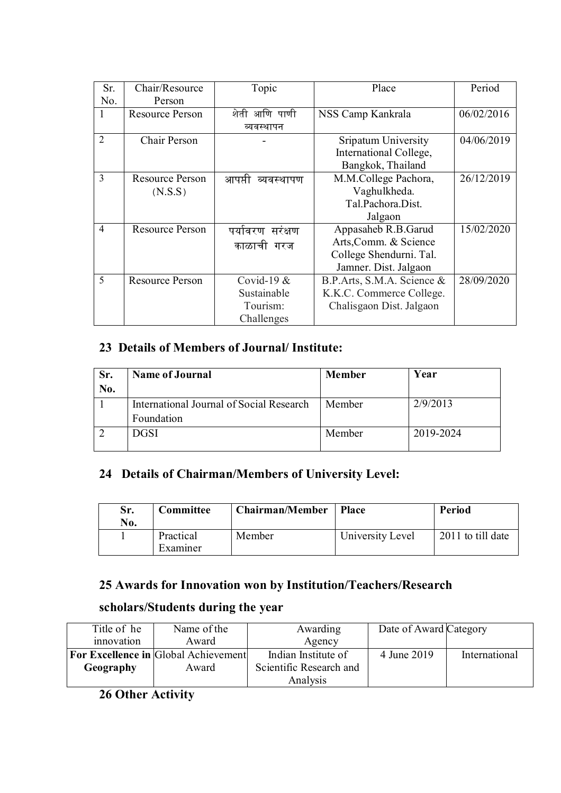| Sr.                      | Chair/Resource         | Topic             | Place                      | Period     |
|--------------------------|------------------------|-------------------|----------------------------|------------|
| No.                      | Person                 |                   |                            |            |
| 1                        | <b>Resource Person</b> | शेती आणि पाणी     | NSS Camp Kankrala          | 06/02/2016 |
|                          |                        | व्यवस्थापन        |                            |            |
| 2                        | Chair Person           |                   | Sripatum University        | 04/06/2019 |
|                          |                        |                   | International College,     |            |
|                          |                        |                   | Bangkok, Thailand          |            |
| 3                        | <b>Resource Person</b> | आपप्ती व्यवस्थापण | M.M.College Pachora,       | 26/12/2019 |
|                          | (N.S.S)                |                   | Vaghulkheda.               |            |
|                          |                        |                   | Tal.Pachora.Dist.          |            |
|                          |                        |                   | Jalgaon                    |            |
| $\overline{4}$           | <b>Resource Person</b> | पर्यावरण सरंक्षण  | Appasaheb R.B.Garud        | 15/02/2020 |
|                          |                        | काळाची गरज        | Arts, Comm. & Science      |            |
|                          |                        |                   | College Shendurni. Tal.    |            |
|                          |                        |                   | Jamner. Dist. Jalgaon      |            |
| $\overline{\phantom{0}}$ | <b>Resource Person</b> | Covid-19 $&$      | B.P.Arts, S.M.A. Science & | 28/09/2020 |
|                          |                        | Sustainable       | K.K.C. Commerce College.   |            |
|                          |                        | Tourism:          | Chalisgaon Dist. Jalgaon   |            |
|                          |                        | Challenges        |                            |            |

## **23 Details of Members of Journal/ Institute:**

| Sr. | <b>Name of Journal</b>                   | <b>Member</b> | Year      |
|-----|------------------------------------------|---------------|-----------|
| No. |                                          |               |           |
|     | International Journal of Social Research | Member        | 2/9/2013  |
|     | Foundation                               |               |           |
|     | <b>DGSI</b>                              | Member        | 2019-2024 |
|     |                                          |               |           |

## **24 Details of Chairman/Members of University Level:**

| Sr.<br>No. | Committee             | <b>Chairman/Member</b> | Place            | Period            |
|------------|-----------------------|------------------------|------------------|-------------------|
|            | Practical<br>Examiner | Member                 | University Level | 2011 to till date |

## **25 Awards for Innovation won by Institution/Teachers/Research**

### **scholars/Students during the year**

| Title of he | Name of the                                 | Awarding                | Date of Award Category |               |
|-------------|---------------------------------------------|-------------------------|------------------------|---------------|
| innovation  | Award                                       | Agency                  |                        |               |
|             | <b>For Excellence in Global Achievement</b> | Indian Institute of     | 4 June 2019            | International |
| Geography   | Award                                       | Scientific Research and |                        |               |
|             |                                             | Analysis                |                        |               |

### **26 Other Activity**